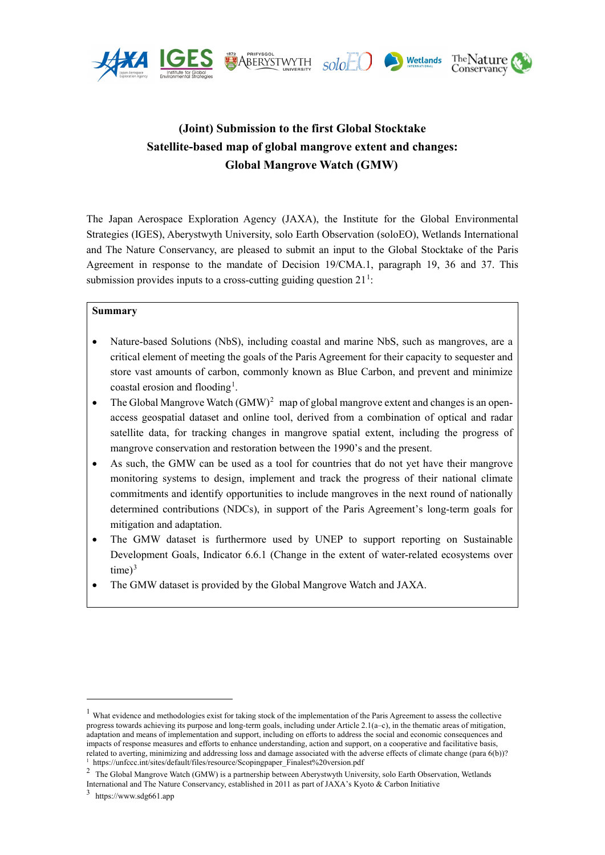





# **(Joint) Submission to the first Global Stocktake Satellite-based map of global mangrove extent and changes: Global Mangrove Watch (GMW)**

The Japan Aerospace Exploration Agency (JAXA), the Institute for the Global Environmental Strategies (IGES), Aberystwyth University, solo Earth Observation (soloEO), Wetlands International and The Nature Conservancy, are pleased to submit an input to the Global Stocktake of the Paris Agreement in response to the mandate of Decision 19/CMA.1, paragraph 19, 36 and 37. This submission provides inputs to a cross-cutting guiding question  $21<sup>1</sup>$  $21<sup>1</sup>$  $21<sup>1</sup>$ :

### **Summary**

- Nature-based Solutions (NbS), including coastal and marine NbS, such as mangroves, are a critical element of meeting the goals of the Paris Agreement for their capacity to sequester and store vast amounts of carbon, commonly known as Blue Carbon, and prevent and minimize coastal erosion and flooding<sup>[1](#page-0-1)</sup>.
- The Global Mangrove Watch  $(GMW)^2$  $(GMW)^2$  map of global mangrove extent and changes is an openaccess geospatial dataset and online tool, derived from a combination of optical and radar satellite data, for tracking changes in mangrove spatial extent, including the progress of mangrove conservation and restoration between the 1990's and the present.
- As such, the GMW can be used as a tool for countries that do not vet have their mangrove monitoring systems to design, implement and track the progress of their national climate commitments and identify opportunities to include mangroves in the next round of nationally determined contributions (NDCs), in support of the Paris Agreement's long-term goals for mitigation and adaptation.
- The GMW dataset is furthermore used by UNEP to support reporting on Sustainable Development Goals, Indicator 6.6.1 (Change in the extent of water-related ecosystems over  $time)^3$  $time)^3$
- The GMW dataset is provided by the Global Mangrove Watch and JAXA.

-

<span id="page-0-0"></span> $1$  What evidence and methodologies exist for taking stock of the implementation of the Paris Agreement to assess the collective progress towards achieving its purpose and long-term goals, including under Article 2.1(a–c), in the thematic areas of mitigation, adaptation and means of implementation and support, including on efforts to address the social and economic consequences and impacts of response measures and efforts to enhance understanding, action and support, on a cooperative and facilitative basis, related to averting, minimizing and addressing loss and damage associated with the adverse effects of climate change (para 6(b))? https://unfccc.int/sites/default/files/resource/Scopingpaper\_Finalest%20version.pdf

<span id="page-0-2"></span><span id="page-0-1"></span><sup>2</sup> The Global Mangrove Watch (GMW) is a partnership between Aberystwyth University, solo Earth Observation, Wetlands

International and The Nature Conservancy, established in 2011 as part of JAXA's Kyoto & Carbon Initiative

<span id="page-0-3"></span><sup>3</sup> https://www.sdg661.app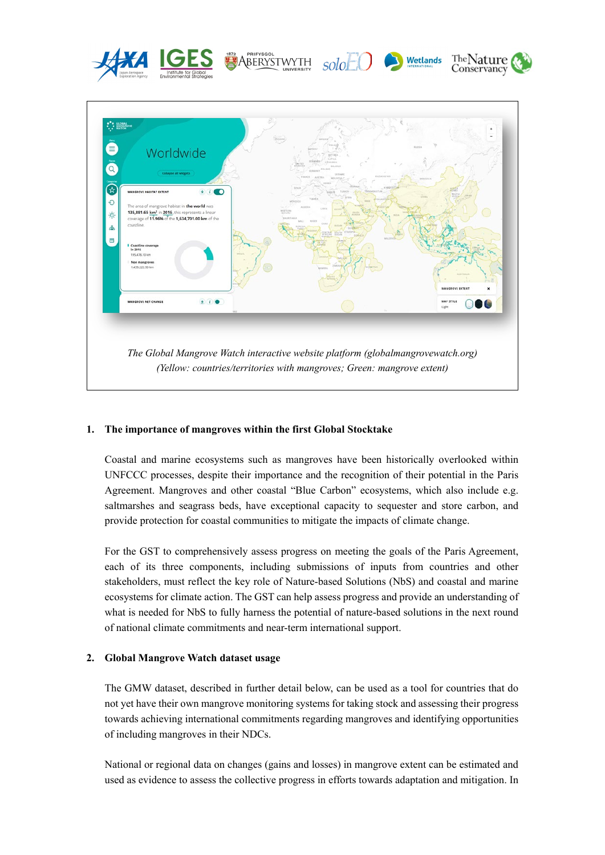

### **1. The importance of mangroves within the first Global Stocktake**

Coastal and marine ecosystems such as mangroves have been historically overlooked within UNFCCC processes, despite their importance and the recognition of their potential in the Paris Agreement. Mangroves and other coastal "Blue Carbon" ecosystems, which also include e.g. saltmarshes and seagrass beds, have exceptional capacity to sequester and store carbon, and provide protection for coastal communities to mitigate the impacts of climate change.

For the GST to comprehensively assess progress on meeting the goals of the Paris Agreement, each of its three components, including submissions of inputs from countries and other stakeholders, must reflect the key role of Nature-based Solutions (NbS) and coastal and marine ecosystems for climate action. The GST can help assess progress and provide an understanding of what is needed for NbS to fully harness the potential of nature-based solutions in the next round of national climate commitments and near-term international support.

### **2. Global Mangrove Watch dataset usage**

The GMW dataset, described in further detail below, can be used as a tool for countries that do not yet have their own mangrove monitoring systems for taking stock and assessing their progress towards achieving international commitments regarding mangroves and identifying opportunities of including mangroves in their NDCs.

National or regional data on changes (gains and losses) in mangrove extent can be estimated and used as evidence to assess the collective progress in efforts towards adaptation and mitigation. In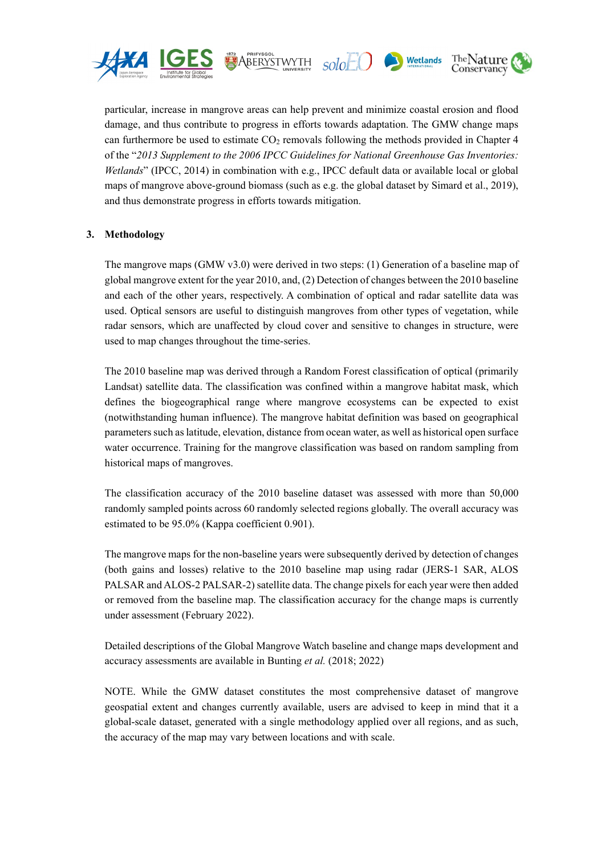

particular, increase in mangrove areas can help prevent and minimize coastal erosion and flood damage, and thus contribute to progress in efforts towards adaptation. The GMW change maps can furthermore be used to estimate  $CO<sub>2</sub>$  removals following the methods provided in Chapter 4 of the "*2013 Supplement to the 2006 IPCC Guidelines for National Greenhouse Gas Inventories: Wetlands*" (IPCC, 2014) in combination with e.g., IPCC default data or available local or global maps of mangrove above-ground biomass (such as e.g. the global dataset by Simard et al., 2019), and thus demonstrate progress in efforts towards mitigation.

solo

The Nature

Conservancy

Wetlands

**1972**<br>ABERYSTWYTH

### **3. Methodology**

The mangrove maps (GMW v3.0) were derived in two steps: (1) Generation of a baseline map of global mangrove extent for the year 2010, and, (2) Detection of changes between the 2010 baseline and each of the other years, respectively. A combination of optical and radar satellite data was used. Optical sensors are useful to distinguish mangroves from other types of vegetation, while radar sensors, which are unaffected by cloud cover and sensitive to changes in structure, were used to map changes throughout the time-series.

The 2010 baseline map was derived through a Random Forest classification of optical (primarily Landsat) satellite data. The classification was confined within a mangrove habitat mask, which defines the biogeographical range where mangrove ecosystems can be expected to exist (notwithstanding human influence). The mangrove habitat definition was based on geographical parameters such as latitude, elevation, distance from ocean water, as well as historical open surface water occurrence. Training for the mangrove classification was based on random sampling from historical maps of mangroves.

The classification accuracy of the 2010 baseline dataset was assessed with more than 50,000 randomly sampled points across 60 randomly selected regions globally. The overall accuracy was estimated to be 95.0% (Kappa coefficient 0.901).

The mangrove maps for the non-baseline years were subsequently derived by detection of changes (both gains and losses) relative to the 2010 baseline map using radar (JERS-1 SAR, ALOS PALSAR and ALOS-2 PALSAR-2) satellite data. The change pixels for each year were then added or removed from the baseline map. The classification accuracy for the change maps is currently under assessment (February 2022).

Detailed descriptions of the Global Mangrove Watch baseline and change maps development and accuracy assessments are available in Bunting *et al.* (2018; 2022)

NOTE. While the GMW dataset constitutes the most comprehensive dataset of mangrove geospatial extent and changes currently available, users are advised to keep in mind that it a global-scale dataset, generated with a single methodology applied over all regions, and as such, the accuracy of the map may vary between locations and with scale.